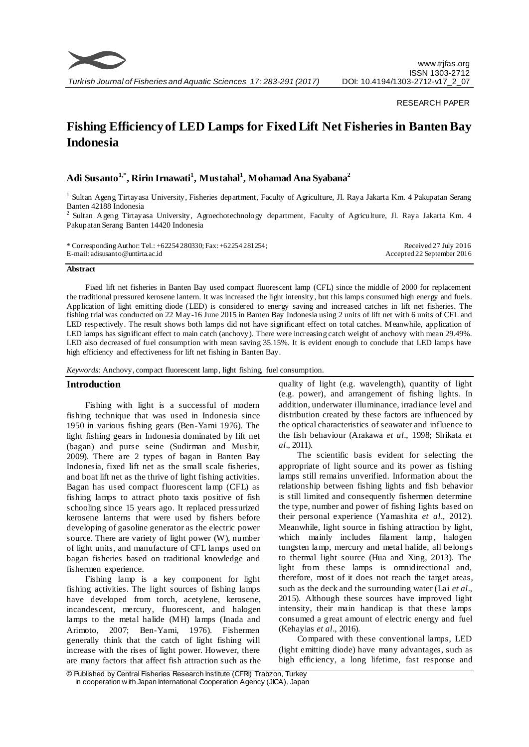

#### RESEARCH PAPER

# **Fishing Efficiency of LED Lamps for Fixed Lift Net Fisheries in Banten Bay Indonesia**

# **Adi Susanto1,\* , Ririn Irnawati<sup>1</sup> , Mustahal<sup>1</sup> , Mohamad Ana Syabana<sup>2</sup>**

<sup>1</sup> Sultan Ageng Tirtayasa University, Fisheries department, Faculty of Agriculture, Jl. Raya Jakarta Km. 4 Pakupatan Serang Banten 42188 Indonesia

<sup>2</sup> Sultan Ageng Tirtayasa University, Agroechotechnology department, Faculty of Agriculture, Jl. Raya Jakarta Km. 4 Pakupatan Serang Banten 14420 Indonesia

| * Corresponding Author: Tel.: $+62254280330$ ; Fax: $+62254281254$ ; | Received 27 July 2016      |
|----------------------------------------------------------------------|----------------------------|
| $E$ -mail: adisusanto @untirta.ac.id                                 | Accepted 22 September 2016 |

#### **Abstract**

Fixed lift net fisheries in Banten Bay used compact fluorescent lamp (CFL) since the middle of 2000 for replacement the traditional pressured kerosene lantern. It was increased the light intensity, but this lamps consumed high energy and fuels. Application of light emitting diode (LED) is considered to energy saving and increased catches in lift net fisheries. The fishing trial was conducted on 22 May-16 June 2015 in Banten Bay Indonesia using 2 units of lift net with 6 units of CFL and LED respectively. The result shows both lamps did not have significant effect on total catches. Meanwhile, application of LED lamps has significant effect to main catch (anchovy). There were increasing catch weight of anchovy with mean 29.49%. LED also decreased of fuel consumption with mean saving 35.15%. It is evident enough to conclude that LED lamps have high efficiency and effectiveness for lift net fishing in Banten Bay.

*Keywords*: Anchovy, compact fluorescent lamp, light fishing, fuel consumption.

# **Introduction**

Fishing with light is a successful of modern fishing technique that was used in Indonesia since 1950 in various fishing gears (Ben-Yami 1976). The light fishing gears in Indonesia dominated by lift net (bagan) and purse seine (Sudirman and Musbir, 2009). There are 2 types of bagan in Banten Bay Indonesia, fixed lift net as the small scale fisheries, and boat lift net as the thrive of light fishing activities. Bagan has used compact fluorescent lamp (CFL) as fishing lamps to attract photo taxis positive of fish schooling since 15 years ago. It replaced pressurized kerosene lanterns that were used by fishers before developing of gasoline generator as the electric power source. There are variety of light power (W), number of light units, and manufacture of CFL lamps used on bagan fisheries based on traditional knowledge and fishermen experience.

Fishing lamp is a key component for light fishing activities. The light sources of fishing lamps have developed from torch, acetylene, kerosene, incandescent, mercury, fluorescent, and halogen lamps to the metal halide (MH) lamps (Inada and Arimoto, 2007; Ben-Yami, 1976). Fishermen generally think that the catch of light fishing will increase with the rises of light power. However, there are many factors that affect fish attraction such as the quality of light (e.g. wavelength), quantity of light (e.g. power), and arrangement of fishing lights. In addition, underwater illuminance, irradiance level and distribution created by these factors are influenced by the optical characteristics of seawater and influence to the fish behaviour (Arakawa *et al*., 1998; Shikata *et al*., 2011).

The scientific basis evident for selecting the appropriate of light source and its power as fishing lamps still remains unverified. Information about the relationship between fishing lights and fish behavior is still limited and consequently fishermen determine the type, number and power of fishing lights based on their personal experience (Yamashita *et al*., 2012). Meanwhile, light source in fishing attraction by light, which mainly includes filament lamp, halogen tungsten lamp, mercury and metal halide, all belongs to thermal light source (Hua and Xing, 2013). The light from these lamps is omnidirectional and, therefore, most of it does not reach the target areas, such as the deck and the surrounding water (Lai *et al*., 2015). Although these sources have improved light intensity, their main handicap is that these lamps consumed a great amount of electric energy and fuel (Kehayias *et al*., 2016).

Compared with these conventional lamps, LED (light emitting diode) have many advantages, such as high efficiency, a long lifetime, fast response and

<sup>©</sup> Published by Central Fisheries Research Institute (CFRI) Trabzon, Turkey in cooperation w ith Japan International Cooperation Agency (JICA), Japan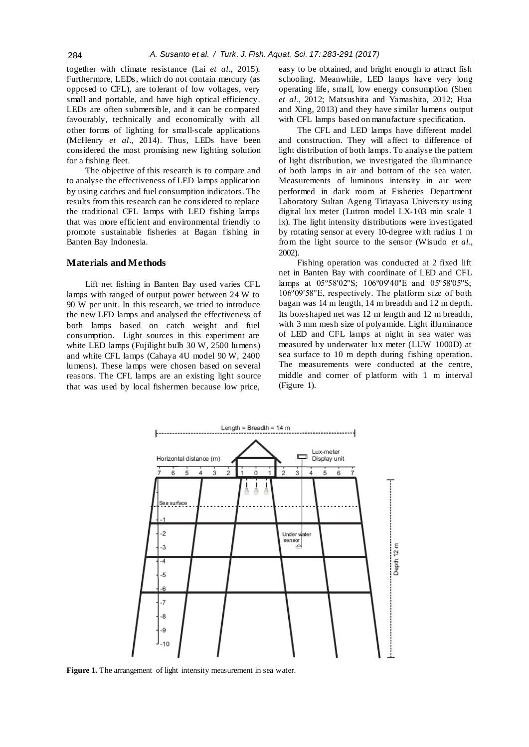together with climate resistance (Lai *et al*., 2015). Furthermore, LEDs, which do not contain mercury (as opposed to CFL), are tolerant of low voltages, very small and portable, and have high optical efficiency. LEDs are often submersible, and it can be compared favourably, technically and economically with all other forms of lighting for small-scale applications (McHenry *et al*., 2014). Thus, LEDs have been considered the most promising new lighting solution for a fishing fleet.

The objective of this research is to compare and to analyse the effectiveness of LED lamps application by using catches and fuel consumption indicators. The results from this research can be considered to replace the traditional CFL lamps with LED fishing lamps that was more efficient and environmental friendly to promote sustainable fisheries at Bagan fishing in Banten Bay Indonesia.

#### **Materials and Methods**

Lift net fishing in Banten Bay used varies CFL lamps with ranged of output power between 24 W to 90 W per unit. In this research, we tried to introduce the new LED lamps and analysed the effectiveness of both lamps based on catch weight and fuel consumption. Light sources in this experiment are white LED lamps (Fujilight bulb 30 W, 2500 lumens) and white CFL lamps (Cahaya 4U model 90 W, 2400 lumens). These lamps were chosen based on several reasons. The CFL lamps are an existing light source that was used by local fishermen because low price,

easy to be obtained, and bright enough to attract fish schooling. Meanwhile, LED lamps have very long operating life, small, low energy consumption (Shen *et al*., 2012; Matsushita and Yamashita, 2012; Hua and Xing, 2013) and they have similar lumens output with CFL lamps based on manufacture specification.

The CFL and LED lamps have different model and construction. They will affect to difference of light distribution of both lamps. To analyse the pattern of light distribution, we investigated the illuminance of both lamps in air and bottom of the sea water. Measurements of luminous intensity in air were performed in dark room at Fisheries Department Laboratory Sultan Ageng Tirtayasa University using digital lux meter (Lutron model LX-103 min scale 1 lx). The light intensity distributions were investigated by rotating sensor at every 10-degree with radius 1 m from the light source to the sensor (Wisudo *et al*., 2002).

Fishing operation was conducted at 2 fixed lift net in Banten Bay with coordinate of LED and CFL lamps at 05°58'02"S; 106°09'40"E and 05°58'05"S; 106º09'58''E, respectively. The platform size of both bagan was 14 m length, 14 m breadth and 12 m depth. Its box-shaped net was 12 m length and 12 m breadth, with 3 mm mesh size of polyamide. Light illuminance of LED and CFL lamps at night in sea water was measured by underwater lux meter (LUW 1000D) at sea surface to 10 m depth during fishing operation. The measurements were conducted at the centre, middle and corner of platform with 1 m interval (Figure 1).



Figure 1. The arrangement of light intensity measurement in sea water.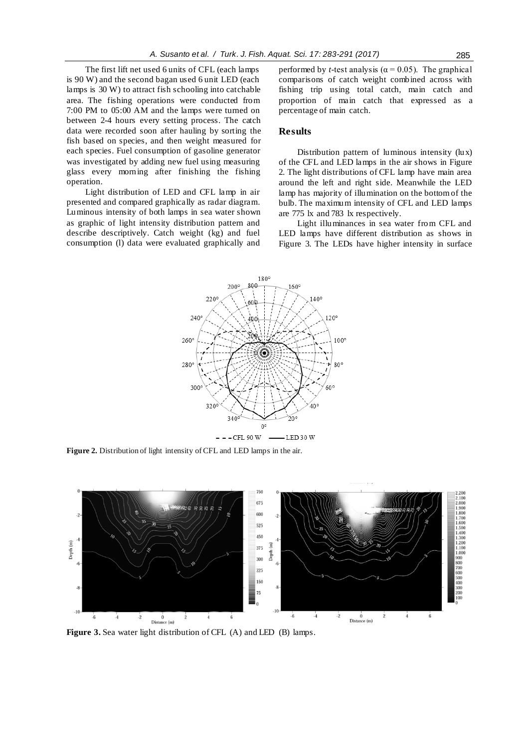The first lift net used 6 units of CFL (each lamps is 90 W) and the second bagan used 6 unit LED (each lamps is 30 W) to attract fish schooling into catchable area. The fishing operations were conducted from 7:00 PM to 05:00 AM and the lamps were turned on between 2-4 hours every setting process. The catch data were recorded soon after hauling by sorting the fish based on species, and then weight measured for each species. Fuel consumption of gasoline generator was investigated by adding new fuel using measuring glass every morning after finishing the fishing operation.

Light distribution of LED and CFL lamp in air presented and compared graphically as radar diagram. Luminous intensity of both lamps in sea water shown as graphic of light intensity distribution pattern and describe descriptively. Catch weight (kg) and fuel consumption (l) data were evaluated graphically and performed by *t*-test analysis ( $\alpha$  = 0.05). The graphical comparisons of catch weight combined across with fishing trip using total catch, main catch and proportion of main catch that expressed as a percentage of main catch.

# **Results**

Distribution pattern of luminous intensity (lux) of the CFL and LED lamps in the air shows in Figure 2. The light distributions of CFL lamp have main area around the left and right side. Meanwhile the LED lamp has majority of illumination on the bottom of the bulb. The maximum intensity of CFL and LED lamps are 775 lx and 783 lx respectively.

Light illuminances in sea water from CFL and LED lamps have different distribution as shows in Figure 3. The LEDs have higher intensity in surface



**Figure 2.** Distribution of light intensity of CFL and LED lamps in the air.



**Figure 3.** Sea water light distribution of CFL (A) and LED (B) lamps.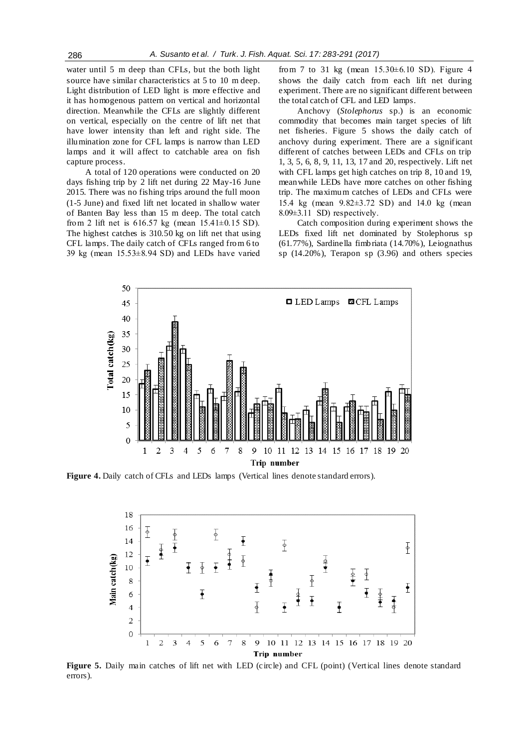water until 5 m deep than CFLs, but the both light source have similar characteristics at 5 to 10 m deep. Light distribution of LED light is more effective and it has homogenous pattern on vertical and horizontal direction. Meanwhile the CFLs are slightly different on vertical, especially on the centre of lift net that have lower intensity than left and right side. The illumination zone for CFL lamps is narrow than LED lamps and it will affect to catchable area on fish capture process.

A total of 120 operations were conducted on 20 days fishing trip by 2 lift net during 22 May-16 June 2015. There was no fishing trips around the full moon (1-5 June) and fixed lift net located in shallow water of Banten Bay less than 15 m deep. The total catch from 2 lift net is 616.57 kg (mean 15.41±0.15 SD). The highest catches is 310.50 kg on lift net that using CFL lamps. The daily catch of CFLs ranged from 6 to 39 kg (mean 15.53±8.94 SD) and LEDs have varied

from 7 to 31 kg (mean 15.30±6.10 SD). Figure 4 shows the daily catch from each lift net during experiment. There are no significant different between the total catch of CFL and LED lamps.

Anchovy (*Stolephorus* sp.) is an economic commodity that becomes main target species of lift net fisheries. Figure 5 shows the daily catch of anchovy during experiment. There are a significant different of catches between LEDs and CFLs on trip 1, 3, 5, 6, 8, 9, 11, 13, 17 and 20, respectively. Lift net with CFL lamps get high catches on trip 8, 10 and 19, meanwhile LEDs have more catches on other fishing trip. The maximum catches of LEDs and CFLs were 15.4 kg (mean 9.82±3.72 SD) and 14.0 kg (mean 8.09±3.11 SD) respectively.

Catch composition during experiment shows the LEDs fixed lift net dominated by Stolephorus sp (61.77%), Sardinella fimbriata (14.70%), Leiognathus sp (14.20%), Terapon sp (3.96) and others species



**Figure 4.** Daily catch of CFLs and LEDs lamps (Vertical lines denote standard errors).



Figure 5. Daily main catches of lift net with LED (circle) and CFL (point) (Vertical lines denote standard errors).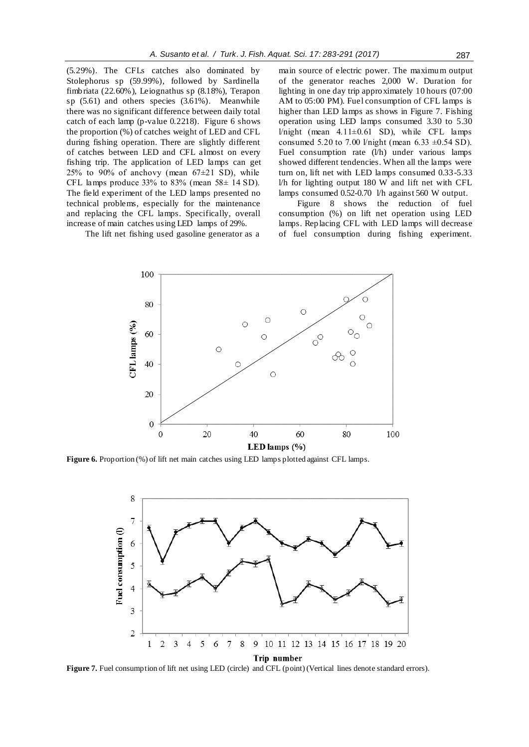(5.29%). The CFLs catches also dominated by Stolephorus sp (59.99%), followed by Sardinella fimbriata (22.60%), Leiognathus sp (8.18%), Terapon sp (5.61) and others species (3.61%). Meanwhile there was no significant difference between daily total catch of each lamp (p-value 0.2218). Figure 6 shows the proportion (%) of catches weight of LED and CFL during fishing operation. There are slightly different of catches between LED and CFL almost on every fishing trip. The application of LED lamps can get 25% to 90% of anchovy (mean  $67\pm21$  SD), while CFL lamps produce  $33\%$  to  $83\%$  (mean  $58\pm 14$  SD). The field experiment of the LED lamps presented no technical problems, especially for the maintenance and replacing the CFL lamps. Specifically, overall increase of main catches using LED lamps of 29%.

The lift net fishing used gasoline generator as a

main source of electric power. The maximum output of the generator reaches 2,000 W. Duration for lighting in one day trip approximately 10 hours (07:00 AM to 05:00 PM). Fuel consumption of CFL lamps is higher than LED lamps as shows in Figure 7. Fishing operation using LED lamps consumed 3.30 to 5.30 l/night (mean  $4.11\pm0.61$  SD), while CFL lamps consumed 5.20 to 7.00 l/night (mean 6.33  $\pm$ 0.54 SD). Fuel consumption rate (l/h) under various lamps showed different tendencies. When all the lamps were turn on, lift net with LED lamps consumed 0.33-5.33 l/h for lighting output 180 W and lift net with CFL lamps consumed 0.52-0.70 l/h against 560 W output.

Figure 8 shows the reduction of fuel consumption (%) on lift net operation using LED lamps. Replacing CFL with LED lamps will decrease of fuel consumption during fishing experiment.



Figure 6. Proportion (%) of lift net main catches using LED lamps plotted against CFL lamps.



Figure 7. Fuel consumption of lift net using LED (circle) and CFL (point) (Vertical lines denote standard errors).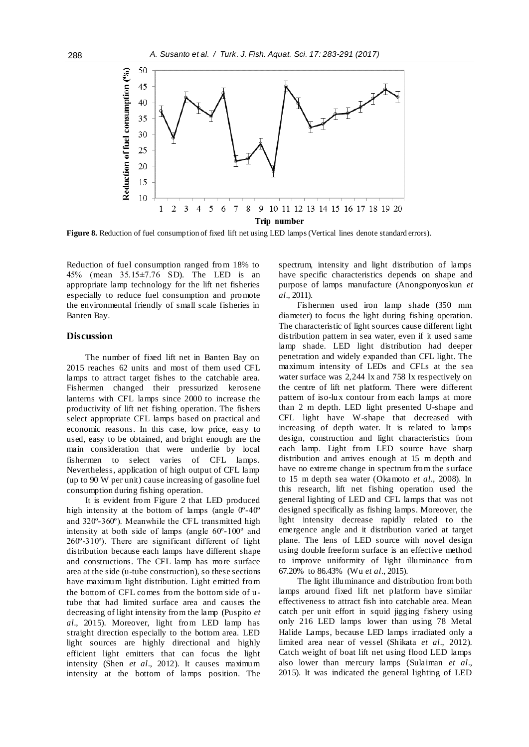

**Figure 8.** Reduction of fuel consumption of fixed lift net using LED lamps (Vertical lines denote standard errors).

Reduction of fuel consumption ranged from 18% to 45% (mean 35.15±7.76 SD). The LED is an appropriate lamp technology for the lift net fisheries especially to reduce fuel consumption and promote the environmental friendly of small scale fisheries in Banten Bay.

# **Discussion**

The number of fixed lift net in Banten Bay on 2015 reaches 62 units and most of them used CFL lamps to attract target fishes to the catchable area. Fishermen changed their pressurized kerosene lanterns with CFL lamps since 2000 to increase the productivity of lift net fishing operation. The fishers select appropriate CFL lamps based on practical and economic reasons. In this case, low price, easy to used, easy to be obtained, and bright enough are the main consideration that were underlie by local fishermen to select varies of CFL lamps. Nevertheless, application of high output of CFL lamp (up to 90 W per unit) cause increasing of gasoline fuel consumption during fishing operation.

It is evident from Figure 2 that LED produced high intensity at the bottom of lamps (angle  $0^{\circ}$ -40<sup>o</sup> and 320º-360º). Meanwhile the CFL transmitted high intensity at both side of lamps (angle 60º-100º and 260º-310º). There are significant different of light distribution because each lamps have different shape and constructions. The CFL lamp has more surface area at the side (u-tube construction), so these sections have maximum light distribution. Light emitted from the bottom of CFL comes from the bottom side of utube that had limited surface area and causes the decreasing of light intensity from the lamp (Puspito *et al*., 2015). Moreover, light from LED lamp has straight direction especially to the bottom area. LED light sources are highly directional and highly efficient light emitters that can focus the light intensity (Shen *et al*., 2012). It causes maximum intensity at the bottom of lamps position. The spectrum, intensity and light distribution of lamps have specific characteristics depends on shape and purpose of lamps manufacture (Anongponyoskun *et al*., 2011).

Fishermen used iron lamp shade (350 mm diameter) to focus the light during fishing operation. The characteristic of light sources cause different light distribution pattern in sea water, even if it used same lamp shade. LED light distribution had deeper penetration and widely expanded than CFL light. The maximum intensity of LEDs and CFLs at the sea water surface was 2,244 lx and 758 lx respectively on the centre of lift net platform. There were different pattern of iso-lux contour from each lamps at more than 2 m depth. LED light presented U-shape and CFL light have W-shape that decreased with increasing of depth water. It is related to lamps design, construction and light characteristics from each lamp. Light from LED source have sharp distribution and arrives enough at 15 m depth and have no extreme change in spectrum from the surface to 15 m depth sea water (Okamoto *et al*., 2008). In this research, lift net fishing operation used the general lighting of LED and CFL lamps that was not designed specifically as fishing lamps. Moreover, the light intensity decrease rapidly related to the emergence angle and it distribution varied at target plane. The lens of LED source with novel design using double freeform surface is an effective method to improve uniformity of light illuminance from 67.20% to 86.43% (Wu *et al*., 2015).

The light illuminance and distribution from both lamps around fixed lift net platform have similar effectiveness to attract fish into catchable area. Mean catch per unit effort in squid jigging fishery using only 216 LED lamps lower than using 78 Metal Halide Lamps, because LED lamps irradiated only a limited area near of vessel (Shikata *et al*., 2012). Catch weight of boat lift net using flood LED lamps also lower than mercury lamps (Sulaiman *et al*., 2015). It was indicated the general lighting of LED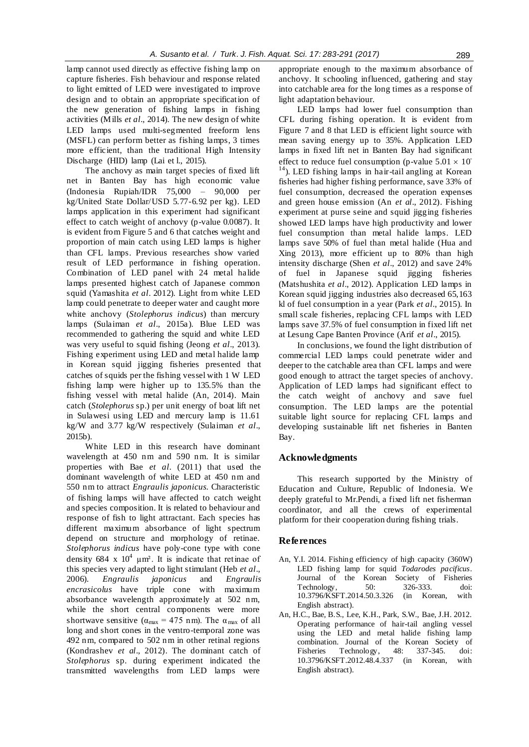lamp cannot used directly as effective fishing lamp on capture fisheries. Fish behaviour and response related to light emitted of LED were investigated to improve design and to obtain an appropriate specification of the new generation of fishing lamps in fishing activities (Mills *et al*., 2014). The new design of white LED lamps used multi-segmented freeform lens (MSFL) can perform better as fishing lamps, 3 times more efficient, than the traditional High Intensity Discharge (HID) lamp (Lai et l., 2015).

The anchovy as main target species of fixed lift net in Banten Bay has high economic value (Indonesia Rupiah/IDR 75,000 – 90,000 per kg/United State Dollar/USD 5.77-6.92 per kg). LED lamps application in this experiment had significant effect to catch weight of anchovy (p-value 0.0087). It is evident from Figure 5 and 6 that catches weight and proportion of main catch using LED lamps is higher than CFL lamps. Previous researches show varied result of LED performance in fishing operation. Combination of LED panel with 24 metal halide lamps presented highest catch of Japanese common squid (Yamashita *et al*. 2012). Light from white LED lamp could penetrate to deeper water and caught more white anchovy (*Stolephorus indicus*) than mercury lamps (Sulaiman *et al*., 2015a). Blue LED was recommended to gathering the squid and white LED was very useful to squid fishing (Jeong *et al*., 2013). Fishing experiment using LED and metal halide lamp in Korean squid jigging fisheries presented that catches of squids per the fishing vessel with 1 W LED fishing lamp were higher up to 135.5% than the fishing vessel with metal halide (An, 2014). Main catch (*Stolephorus* sp.) per unit energy of boat lift net in Sulawesi using LED and mercury lamp is 11.61 kg/W and 3.77 kg/W respectively (Sulaiman *et al*., 2015b).

White LED in this research have dominant wavelength at 450 nm and 590 nm. It is similar properties with Bae *et al*. (2011) that used the dominant wavelength of white LED at 450 nm and 550 nm to attract *Engraulis japonicus.* Characteristic of fishing lamps will have affected to catch weight and species composition. It is related to behaviour and response of fish to light attractant. Each species has different maximum absorbance of light spectrum depend on structure and morphology of retinae. *Stolephorus indicus* have poly-cone type with cone density 684 x  $10^4$  µm<sup>2</sup>. It is indicate that retinae of this species very adapted to light stimulant (Heb *et al*., 2006). *Engraulis japonicus* and *Engraulis encrasicolus* have triple cone with maximum absorbance wavelength approximately at 502 nm, while the short central components were more shortwave sensitive ( $\alpha_{\text{max}} = 475$  nm). The  $\alpha_{\text{max}}$  of all long and short cones in the ventro-temporal zone was 492 nm, compared to 502 nm in other retinal regions (Kondrashev *et al*., 2012). The dominant catch of *Stolephorus* sp. during experiment indicated the transmitted wavelengths from LED lamps were

appropriate enough to the maximum absorbance of anchovy. It schooling influenced, gathering and stay into catchable area for the long times as a response of light adaptation behaviour.

LED lamps had lower fuel consumption than CFL during fishing operation. It is evident from Figure 7 and 8 that LED is efficient light source with mean saving energy up to 35%. Application LED lamps in fixed lift net in Banten Bay had significant effect to reduce fuel consumption (p-value  $5.01 \times 10^{-10}$ <sup>14</sup>). LED fishing lamps in hair-tail angling at Korean fisheries had higher fishing performance, save 33% of fuel consumption, decreased the operation expenses and green house emission (An *et al*., 2012). Fishing experiment at purse seine and squid jigging fisheries showed LED lamps have high productivity and lower fuel consumption than metal halide lamps. LED lamps save 50% of fuel than metal halide (Hua and Xing 2013), more efficient up to 80% than high intensity discharge (Shen *et al*., 2012) and save 24% of fuel in Japanese squid jigging fisheries (Matshushita *et al*., 2012). Application LED lamps in Korean squid jigging industries also decreased 65,163 kl of fuel consumption in a year (Park *et al*., 2015). In small scale fisheries, replacing CFL lamps with LED lamps save 37.5% of fuel consumption in fixed lift net at Lesung Cape Banten Province (Arif *et al*., 2015).

In conclusions, we found the light distribution of commercial LED lamps could penetrate wider and deeper to the catchable area than CFL lamps and were good enough to attract the target species of anchovy. Application of LED lamps had significant effect to the catch weight of anchovy and save fuel consumption. The LED lamps are the potential suitable light source for replacing CFL lamps and developing sustainable lift net fisheries in Banten Bay.

# **Acknowledgments**

This research supported by the Ministry of Education and Culture, Republic of Indonesia. We deeply grateful to Mr.Pendi, a fixed lift net fisherman coordinator, and all the crews of experimental platform for their cooperation during fishing trials.

# **References**

- An, Y.I. 2014. Fishing efficiency of high capacity (360W) LED fishing lamp for squid *Todarodes pacificus*. Journal of the Korean Society of Fisheries Technology, 50: 326-333. doi: 10.3796/KSFT.2014.50.3.326 (in Korean, with English abstract).
- An, H.C., Bae, B.S., Lee, K.H., Park, S.W., Bae, J.H. 2012. Operating performance of hair-tail angling vessel using the LED and metal halide fishing lamp combination. Journal of the Korean Society of Fisheries Technology, 48: 337-345. doi: 10.3796/KSFT.2012.48.4.337 (in Korean, with English abstract).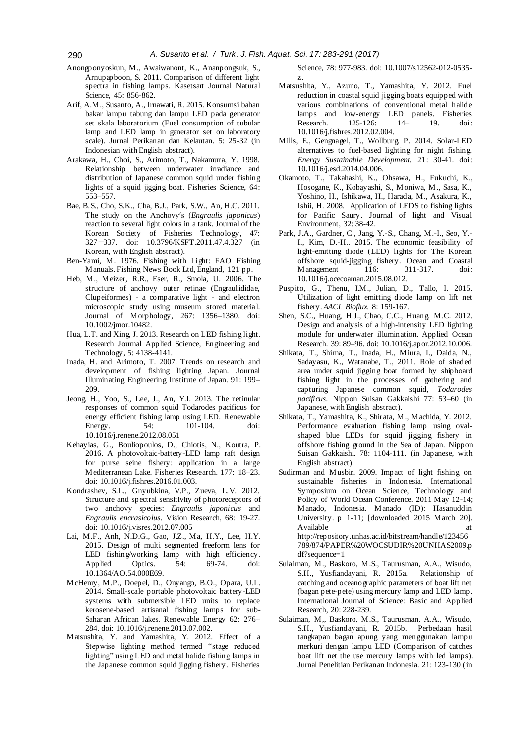- Anongponyoskun, M., Awaiwanont, K., Ananpongsuk, S., Arnupapboon, S. 2011. Comparison of different light spectra in fishing lamps. Kasetsart Journal Natural Science, 45: 856-862.
- Arif, A.M., Susanto, A., Irnawati, R. 2015. Konsumsi bahan bakar lampu tabung dan lampu LED pada generator set skala laboratorium (Fuel consumption of tubular lamp and LED lamp in generator set on laboratory scale). Jurnal Perikanan dan Kelautan. 5: 25-32 (in Indonesian with English abstract).
- Arakawa, H., Choi, S., Arimoto, T., Nakamura, Y. 1998. Relationship between underwater irradiance and distribution of Japanese common squid under fishing lights of a squid jigging boat. Fisheries Science, 64: 553–557.
- Bae, B.S., Cho, S.K., Cha, B.J., Park, S.W., An, H.C. 2011. The study on the Anchovy′s (*Engraulis japonicus*) reaction to several light colors in a tank. Journal of the Korean Society of Fisheries Technology, 47: 327-337. doi: 10.3796/KSFT.2011.47.4.327 (in Korean, with English abstract).
- Ben-Yami, M. 1976. Fishing with Light: FAO Fishing Manuals. Fishing News Book Ltd, England, 121 pp.
- Heb, M., Meizer, R.R., Eser, R., Smola, U. 2006. The structure of anchovy outer retinae (Engraulididae, Clupeiformes) - a comparative light - and electron microscopic study using museum stored material. Journal of Morphology, 267: 1356–1380. doi: 10.1002/jmor.10482.
- Hua, L.T. and Xing, J. 2013. Research on LED fishing light. Research Journal Applied Science, Engineering and Technology, 5: 4138-4141.
- Inada, H. and Arimoto, T. 2007. Trends on research and development of fishing lighting Japan. Journal Illuminating Engineering Institute of Japan. 91: 199– 209.
- Jeong, H., Yoo, S., Lee, J., An, Y.I. 2013. The retinular responses of common squid Todarodes pacificus for energy efficient fishing lamp using LED. Renewable Energy. 54: 101-104. doi: 10.1016/j.renene.2012.08.051
- Kehayias, G., Bouliopoulos, D., Chiotis, N., Koutra, P. 2016. A photovoltaic-battery-LED lamp raft design for purse seine fishery: application in a large Mediterranean Lake. Fisheries Research. 177: 18–23. doi: 10.1016/j.fishres.2016.01.003.
- Kondrashev, S.L., Gnyubkina, V.P., Zueva, L.V. 2012. Structure and spectral sensitivity of photoreceptors of two anchovy species: *Engraulis japonicus* and *Engraulis encrasicolus.* Vision Research, 68: 19-27. doi: 10.1016/j.visres.2012.07.005
- Lai, M.F., Anh, N.D.G., Gao, J.Z., Ma, H.Y., Lee, H.Y. 2015. Design of multi segmented freeform lens for LED fishing/working lamp with high efficiency. Applied Optics. 54: 69-74. doi: 10.1364/AO.54.000E69.
- McHenry, M.P., Doepel, D., Onyango, B.O., Opara, U.L. 2014. Small-scale portable photovoltaic battery-LED systems with submersible LED units to replace kerosene-based artisanal fishing lamps for sub-Saharan African lakes. Renewable Energy 62: 276– 284. doi: 10.1016/j.renene.2013.07.002.
- Matsushita, Y. and Yamashita, Y. 2012. Effect of a Stepwise lighting method termed "stage reduced lighting" using LED and metal halide fishing lamps in the Japanese common squid jigging fishery. Fisheries

Science, 78: 977-983. doi: 10.1007/s12562-012-0535 z.

- Matsushita, Y., Azuno, T., Yamashita, Y. 2012. Fuel reduction in coastal squid jigging boats equipped with various combinations of conventional metal halide lamps and low-energy LED panels. Fisheries<br>Research. 125-126: 14- 19. doi: Research. 125-126: 14– 19. doi: 10.1016/j.fishres.2012.02.004.
- Mills, E., Gengnagel, T., Wollburg, P. 2014. Solar-LED alternatives to fuel-based lighting for night fishing. *Energy Sustainable Development.* 21: 30-41. doi: 10.1016/j.esd.2014.04.006.
- Okamoto, T., Takahashi, K., Ohsawa, H., Fukuchi, K., Hosogane, K., Kobayashi, S., Moniwa, M., Sasa, K., Yoshino, H., Ishikawa, H., Harada, M., Asakura, K., Ishii, H. 2008. Application of LEDS to fishing lights for Pacific Saury. Journal of light and Visual Environment, 32: 38-42.
- Park, J.A., Gardner, C., Jang, Y.-S., Chang, M.-I., Seo, Y.- I., Kim, D.-H.. 2015. The economic feasibility of light-emitting diode (LED) lights for The Korean offshore squid-jigging fishery. Ocean and Coastal M anagement 10.1016/j.ocecoaman.2015.08.012.
- Puspito, G., Thenu, I.M., Julian, D., Tallo, I. 2015. Utilization of light emitting diode lamp on lift net fishery. *AACL Bioflux.* 8: 159-167.
- Shen, S.C., Huang, H.J., Chao, C.C., Huang, M.C. 2012. Design and analysis of a high-intensity LED lighting module for underwater illumination. Applied Ocean Research*.* 39: 89–96. doi: 10.1016/j.apor.2012.10.006.
- Shikata, T., Shima, T., Inada, H., Miura, I., Daida, N., Sadayasu, K., Watanabe, T., 2011. Role of shaded area under squid jigging boat formed by shipboard fishing light in the processes of gathering and capturing Japanese common squid, *Todarodes pacificus.* Nippon Suisan Gakkaishi 77: 53–60 (in Japanese, with English abstract).
- Shikata, T., Yamashita, K., Shirata, M., Machida, Y. 2012. Performance evaluation fishing lamp using ovalshaped blue LEDs for squid jigging fishery in offshore fishing ground in the Sea of Japan. Nippon Suisan Gakkaishi. 78: 1104-111. (in Japanese, with English abstract).
- Sudirman and Musbir. 2009. Impact of light fishing on sustainable fisheries in Indonesia. International Symposium on Ocean Science, Technology and Policy of World Ocean Conference. 2011 May 12-14; Manado, Indonesia. Manado (ID): Hasanuddin University. p 1-11; [downloaded 2015 March 20]. Available at a state at the state at a state at a state at a state at a state at a state at a state at a state  $\alpha$ http://repository.unhas.ac.id/bitstream/handle/123456 789/874/PAPER%20WOCSUDIR%20UNHAS2009.p

df?sequence=1 Sulaiman, M., Baskoro, M.S., Taurusman, A.A., Wisudo, S.H., Yusfiandayani, R. 2015a. Relationship of catching and oceanographic parameters of boat lift net

- (bagan pete-pete) using mercury lamp and LED lamp. International Journal of Science: Basic and Applied Research, 20: 228-239.
- Sulaiman, M,, Baskoro, M.S., Taurusman, A.A., Wisudo, S.H., Yusfiandayani, R. 2015b. Perbedaan hasil tangkapan bagan apung yang menggunakan lampu merkuri dengan lampu LED (Comparison of catches boat lift net the use mercury lamps with led lamps). Jurnal Penelitian Perikanan Indonesia. 21: 123-130 (in